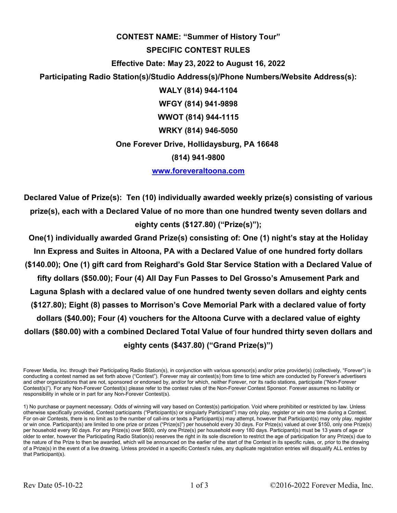## **CONTEST NAME: "Summer of History Tour" SPECIFIC CONTEST RULES Effective Date: May 23, 2022 to August 16, 2022 Participating Radio Station(s)/Studio Address(s)/Phone Numbers/Website Address(s): WALY (814) 944-1104 WFGY (814) 941-9898 WWOT (814) 944-1115 WRKY (814) 946-5050 One Forever Drive, Hollidaysburg, PA 16648 (814) 941-9800 www.foreveraltoona.com**

**Declared Value of Prize(s): Ten (10) individually awarded weekly prize(s) consisting of various prize(s), each with a Declared Value of no more than one hundred twenty seven dollars and eighty cents (\$127.80) ("Prize(s)");** 

**One(1) individually awarded Grand Prize(s) consisting of: One (1) night's stay at the Holiday Inn Express and Suites in Altoona, PA with a Declared Value of one hundred forty dollars (\$140.00); One (1) gift card from Reighard's Gold Star Service Station with a Declared Value of fifty dollars (\$50.00); Four (4) All Day Fun Passes to Del Grosso's Amusement Park and Laguna Splash with a declared value of one hundred twenty seven dollars and eighty cents (\$127.80); Eight (8) passes to Morrison's Cove Memorial Park with a declared value of forty dollars (\$40.00); Four (4) vouchers for the Altoona Curve with a declared value of eighty dollars (\$80.00) with a combined Declared Total Value of four hundred thirty seven dollars and eighty cents (\$437.80) ("Grand Prize(s)")** 

Forever Media, Inc. through their Participating Radio Station(s), in conjunction with various sponsor(s) and/or prize provider(s) (collectively, "Forever") is conducting a contest named as set forth above ("Contest"). Forever may air contest(s) from time to time which are conducted by Forever's advertisers and other organizations that are not, sponsored or endorsed by, and/or for which, neither Forever, nor its radio stations, participate ("Non-Forever Contest(s)"). For any Non-Forever Contest(s) please refer to the contest rules of the Non-Forever Contest Sponsor. Forever assumes no liability or responsibility in whole or in part for any Non-Forever Contest(s).

1) No purchase or payment necessary. Odds of winning will vary based on Contest(s) participation. Void where prohibited or restricted by law. Unless otherwise specifically provided, Contest participants ("Participant(s) or singularly Participant") may only play, register or win one time during a Contest. For on-air Contests, there is no limit as to the number of call-ins or texts a Participant(s) may attempt, however that Participant(s) may only play, register or win once. Participant(s) are limited to one prize or prizes ("Prize(s)") per household every 30 days. For Prize(s) valued at over \$150, only one Prize(s) per household every 90 days. For any Prize(s) over \$600, only one Prize(s) per household every 180 days. Participant(s) must be 13 years of age or older to enter, however the Participating Radio Station(s) reserves the right in its sole discretion to restrict the age of participation for any Prize(s) due to the nature of the Prize to then be awarded, which will be announced on the earlier of the start of the Contest in its specific rules, or, prior to the drawing of a Prize(s) in the event of a live drawing. Unless provided in a specific Contest's rules, any duplicate registration entries will disqualify ALL entries by that Participant(s).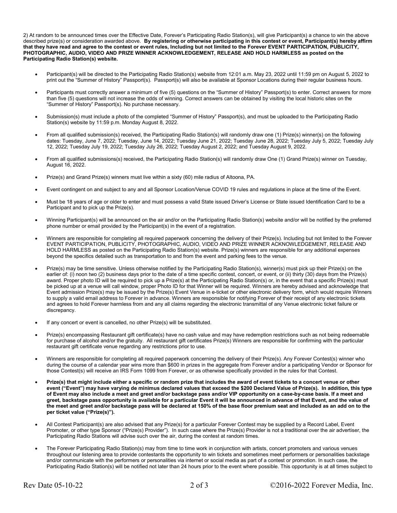2) At random to be announced times over the Effective Date, Forever's Participating Radio Station(s), will give Participant(s) a chance to win the above described prize(s) or consideration awarded above. **By registering or otherwise participating in this contest or event, Participant(s) hereby affirm that they have read and agree to the contest or event rules, Including but not limited to the Forever EVENT PARTICIPATION, PUBLICITY, PHOTOGRAPHIC, AUDIO, VIDEO AND PRIZE WINNER ACKNOWLEDGEMENT, RELEASE AND HOLD HARMLESS as posted on the Participating Radio Station(s) website.** 

- Participant(s) will be directed to the Participating Radio Station(s) website from 12:01 a.m. May 23, 2022 until 11:59 pm on August 5, 2022 to print out the "Summer of History" Passport(s). Passport(s) will also be available at Sponsor Locations during their regular business hours.
- Participants must correctly answer a minimum of five (5) questions on the "Summer of History" Passport(s) to enter. Correct answers for more than five (5) questions will not increase the odds of winning. Correct answers can be obtained by visiting the local historic sites on the "Summer of History" Passport(s). No purchase necessary.
- Submission(s) must include a photo of the completed "Summer of History" Passport(s), and must be uploaded to the Participating Radio Station(s) website by 11:59 p.m. Monday August 8, 2022.
- From all qualified submission(s) received, the Participating Radio Station(s) will randomly draw one (1) Prize(s) winner(s) on the following dates: Tuesday, June 7, 2022; Tuesday, June 14, 2022; Tuesday June 21, 2022; Tuesday June 28, 2022; Tuesday July 5, 2022; Tuesday July 12, 2022; Tuesday July 19, 2022; Tuesday July 26, 2022; Tuesday August 2, 2022; and Tuesday August 9, 2022.
- From all qualified submissions(s) received, the Participating Radio Station(s) will randomly draw One (1) Grand Prize(s) winner on Tuesday, August 16, 2022.
- Prize(s) and Grand Prize(s) winners must live within a sixty (60) mile radius of Altoona, PA.
- Event contingent on and subject to any and all Sponsor Location/Venue COVID 19 rules and regulations in place at the time of the Event.
- Must be 18 years of age or older to enter and must possess a valid State issued Driver's License or State issued Identification Card to be a Participant and to pick up the Prize(s).
- Winning Participant(s) will be announced on the air and/or on the Participating Radio Station(s) website and/or will be notified by the preferred phone number or email provided by the Participant(s) in the event of a registration.
- Winners are responsible for completing all required paperwork concerning the delivery of their Prize(s). Including but not limited to the Forever EVENT PARTICIPATION, PUBLICITY, PHOTOGRAPHIC, AUDIO, VIDEO AND PRIZE WINNER ACKNOWLEDGEMENT, RELEASE AND HOLD HARMLESS as posted on the Participating Radio Station(s) website. Prize(s) winners are responsible for any additional expenses beyond the specifics detailed such as transportation to and from the event and parking fees to the venue.
- Prize(s) may be time sensitive. Unless otherwise notified by the Participating Radio Station(s), winner(s) must pick up their Prize(s) on the earlier of: (i) noon two (2) business days prior to the date of a time specific contest, concert, or event, or (ii) thirty (30) days from the Prize(s) award. Proper photo ID will be required to pick up a Prize(s) at the Participating Radio Station(s) or, in the event that a specific Prize(s) must be picked up at a venue will call window, proper Photo ID for that Winner will be required. Winners are hereby advised and acknowledge that Event admission Prize(s) may be issued by the Prize(s) Event Venue in e-ticket or other electronic delivery form, which would require Winners to supply a valid email address to Forever in advance. Winners are responsible for notifying Forever of their receipt of any electronic tickets and agrees to hold Forever harmless from and any all claims regarding the electronic transmittal of any Venue electronic ticket failure or discrepancy.
- If any concert or event is cancelled, no other Prize(s) will be substituted.
- Prize(s) encompassing Restaurant gift certificate(s) have no cash value and may have redemption restrictions such as not being redeemable for purchase of alcohol and/or the gratuity. All restaurant gift certificates Prize(s) Winners are responsible for confirming with the particular restaurant gift certificate venue regarding any restrictions prior to use.
- Winners are responsible for completing all required paperwork concerning the delivery of their Prize(s). Any Forever Contest(s) winner who during the course of a calendar year wins more than \$600 in prizes in the aggregate from Forever and/or a participating Vendor or Sponsor for those Contest(s) will receive an IRS Form 1099 from Forever, or as otherwise specifically provided in the rules for that Contest.
- **Prize(s) that might include either a specific or random prize that includes the award of event tickets to a concert venue or other event ("Event") may have varying de minimus declared values that exceed the \$200 Declared Value of Prize(s). In addition, this type of Event may also include a meet and greet and/or backstage pass and/or VIP opportunity on a case-by-case basis. If a meet and greet, backstage pass opportunity is available for a particular Event it will be announced in advance of that Event, and the value of the meet and greet and/or backstage pass will be declared at 150% of the base floor premium seat and included as an add on to the per ticket value ("Prize(s)").**
- All Contest Participant(s) are also advised that any Prize(s) for a particular Forever Contest may be supplied by a Record Label, Event Promoter, or other type Sponsor ("Prize(s) Provider"). In such case where the Prize(s) Provider is not a traditional over the air advertiser, the Participating Radio Stations will advise such over the air, during the contest at random times.
- The Forever Participating Radio Station(s) may from time to time work in conjunction with artists, concert promoters and various venues throughout our listening area to provide contestants the opportunity to win tickets and sometimes meet performers or personalities backstage and/or communicate with the performers or personalities via internet or social media as part of a contest or promotion. In such case, the Participating Radio Station(s) will be notified not later than 24 hours prior to the event where possible. This opportunity is at all times subject to